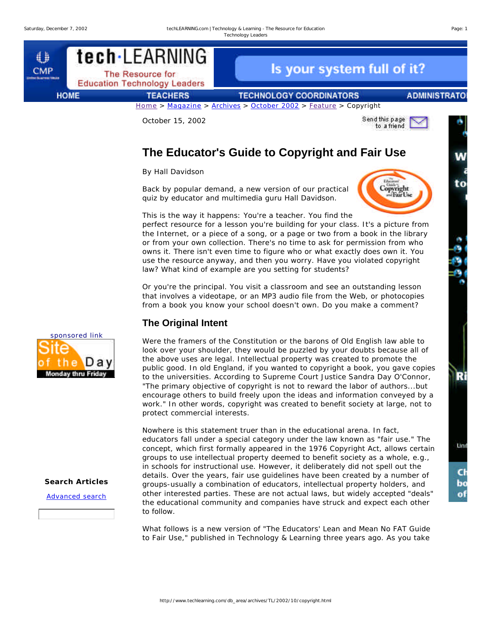tech·LEARNING € Is your system full of it? **CMP** The Resource for **Education Technology Leaders HOME TEACHERS TECHNOLOGY COORDINATORS ADMINISTRATO** Home > Magazine > Archives > October 2002 > Feature > Copyright

October 15, 2002



# **The Educator's Guide to Copyright and Fair Use**

*By Hall Davidson*

Back by popular demand, a new version of our practical quiz by educator and multimedia guru Hall Davidson.



This is the way it happens: You're a teacher. You find the perfect resource for a lesson you're building for your class. It's a picture from the Internet, or a piece of a song, or a page or two from a book in the library or from your own collection. There's no time to ask for permission from who owns it. There isn't even time to figure who or what exactly does own it. You use the resource anyway, and then you worry. Have you violated copyright law? What kind of example are you setting for students?

Or you're the principal. You visit a classroom and see an outstanding lesson that involves a videotape, or an MP3 audio file from the Web, or photocopies from a book you know your school doesn't own. Do you make a comment?

# **The Original Intent**

Were the framers of the Constitution or the barons of Old English law able to look over your shoulder, they would be puzzled by your doubts because all of the above uses are legal. Intellectual property was created to promote the public good. In old England, if you wanted to copyright a book, you gave copies to the universities. According to Supreme Court Justice Sandra Day O'Connor, "The primary objective of copyright is not to reward the labor of authors...but encourage others to build freely upon the ideas and information conveyed by a work." In other words, copyright was created to benefit society at large, not to protect commercial interests.

Nowhere is this statement truer than in the educational arena. In fact, educators fall under a special category under the law known as "fair use." The concept, which first formally appeared in the 1976 Copyright Act, allows certain groups to use intellectual property deemed to benefit society as a whole, e.g., in schools for instructional use. However, it deliberately did not spell out the details. Over the years, fair use guidelines have been created by a number of groups-usually a combination of educators, intellectual property holders, and other interested parties. These are not actual laws, but widely accepted "deals" the educational community and companies have struck and expect each other to follow.

What follows is a new version of "The Educators' Lean and Mean No FAT Guide to Fair Use," published in Technology & Learning three years ago. As you take



## **Search Articles**

Advanced search

W

to

 $-200$ 

R

Lini

C bo o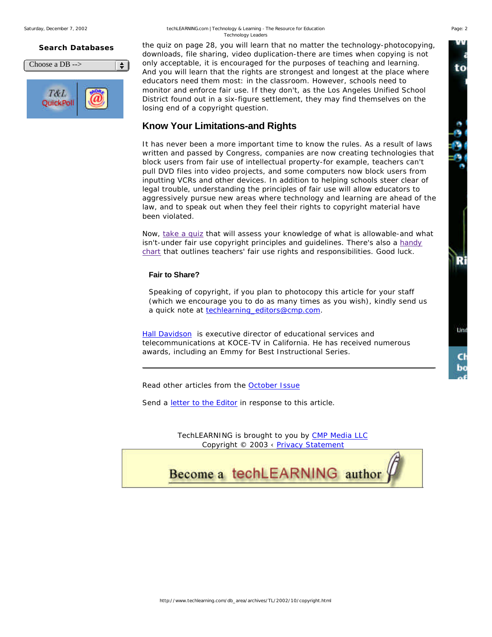#### **Search Databases**

| Choose a $DB \rightarrow$ |  |
|---------------------------|--|
| <b>OuickPoll</b>          |  |

the quiz on page 28, you will learn that no matter the technology-photocopying, downloads, file sharing, video duplication-there are times when copying is not only acceptable, it is encouraged for the purposes of teaching and learning. And you will learn that the rights are strongest and longest at the place where educators need them most: in the classroom. However, schools need to monitor and enforce fair use. If they don't, as the Los Angeles Unified School District found out in a six-figure settlement, they may find themselves on the losing end of a copyright question.

## **Know Your Limitations-and Rights**

It has never been a more important time to know the rules. As a result of laws written and passed by Congress, companies are now creating technologies that block users from fair use of intellectual property-for example, teachers can't pull DVD files into video projects, and some computers now block users from inputting VCRs and other devices. In addition to helping schools steer clear of legal trouble, understanding the principles of fair use will allow educators to aggressively pursue new areas where technology and learning are ahead of the law, and to speak out when they feel their rights to copyright material have been violated.

Now, take a quiz that will assess your knowledge of what is allowable-and what isn't-under fair use copyright principles and guidelines. There's also a handy chart that outlines teachers' fair use rights and responsibilities. Good luck.

## **Fair to Share?**

Speaking of copyright, if you plan to photocopy this article for your staff (which we encourage you to do as many times as you wish), kindly send us a quick note at techlearning\_editors@cmp.com.

*Hall Davidson is executive director of educational services and telecommunications at KOCE-TV in California. He has received numerous awards, including an Emmy for Best Instructional Series.*

Read other articles from the October Issue

Send a *letter to the Editor* in response to this article.

TechLEARNING is brought to you by CMP Media LLC Copyright © 2003 ‹ Privacy Statement



to

ှ<br>(၁၀)

R

tind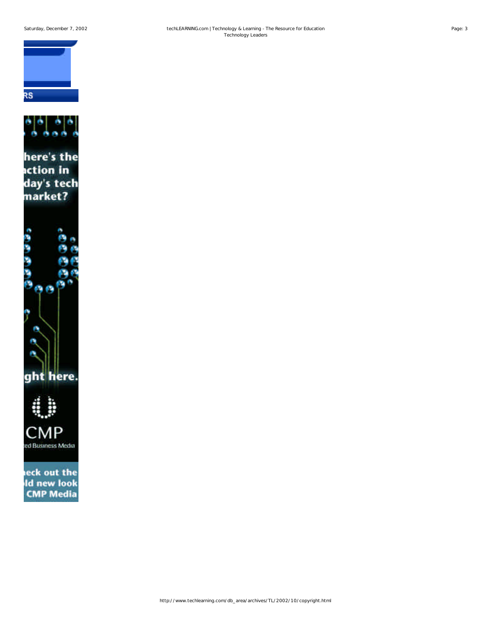



eck out the **Id new look CMP Media**